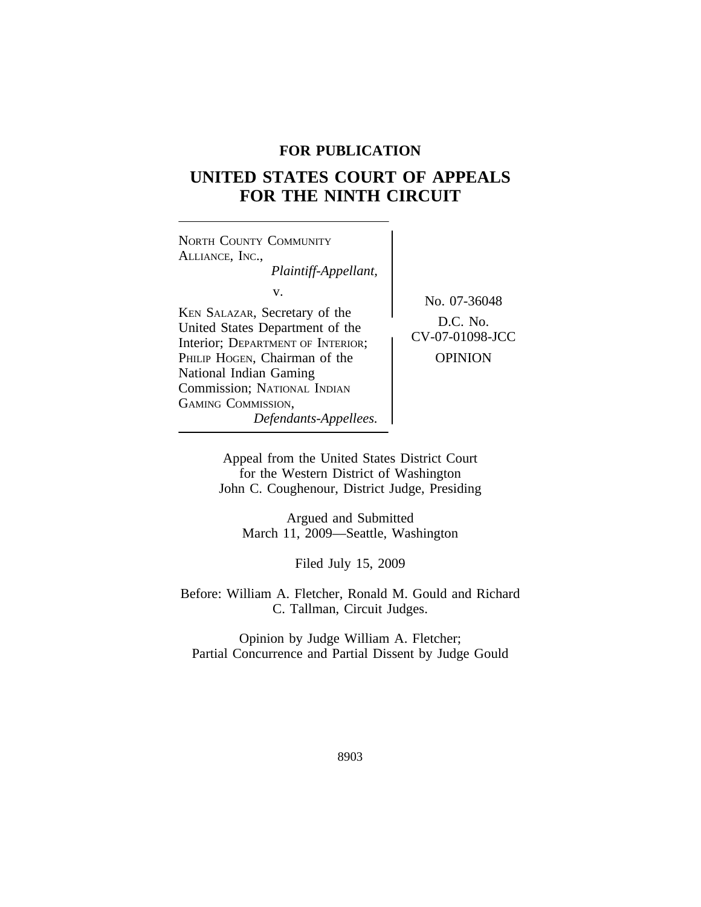# **FOR PUBLICATION**

# **UNITED STATES COURT OF APPEALS FOR THE NINTH CIRCUIT**

<sup>N</sup>ORTH COUNTY COMMUNITY ALLIANCE, INC., *Plaintiff-Appellant,* v. No. 07-36048 KEN SALAZAR, Secretary of the D.C. No.<br>United States Department of the **CV-07-01098-JCC** Interior; DEPARTMENT OF INTERIOR; PHILIP HOGEN, Chairman of the **OPINION** National Indian Gaming Commission; NATIONAL INDIAN GAMING COMMISSION, *Defendants-Appellees.*

> Appeal from the United States District Court for the Western District of Washington John C. Coughenour, District Judge, Presiding

Argued and Submitted March 11, 2009—Seattle, Washington

Filed July 15, 2009

Before: William A. Fletcher, Ronald M. Gould and Richard C. Tallman, Circuit Judges.

Opinion by Judge William A. Fletcher; Partial Concurrence and Partial Dissent by Judge Gould

8903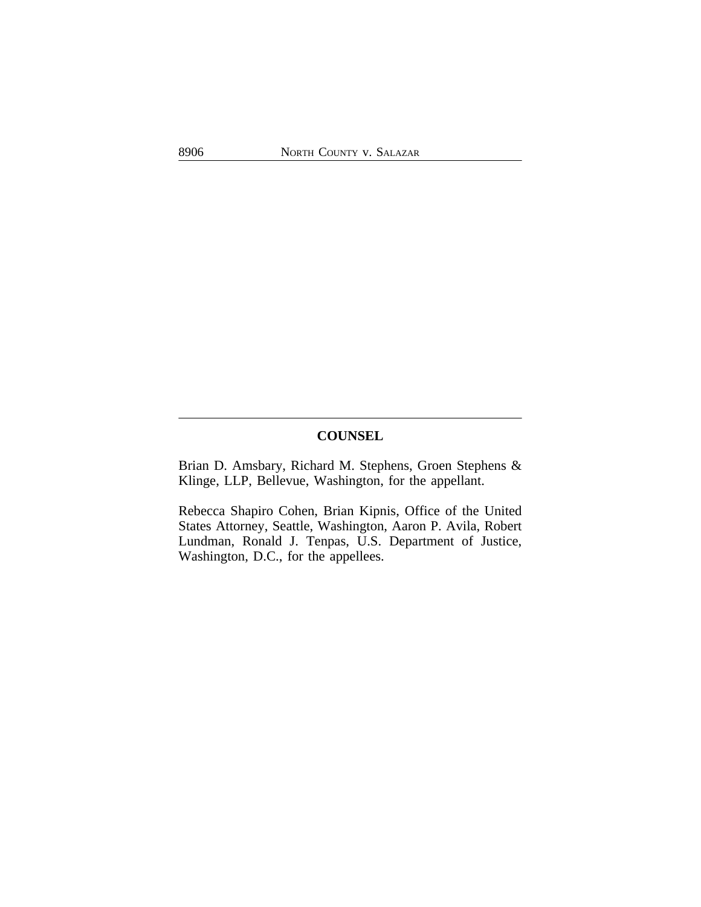# **COUNSEL**

Brian D. Amsbary, Richard M. Stephens, Groen Stephens & Klinge, LLP, Bellevue, Washington, for the appellant.

Rebecca Shapiro Cohen, Brian Kipnis, Office of the United States Attorney, Seattle, Washington, Aaron P. Avila, Robert Lundman, Ronald J. Tenpas, U.S. Department of Justice, Washington, D.C., for the appellees.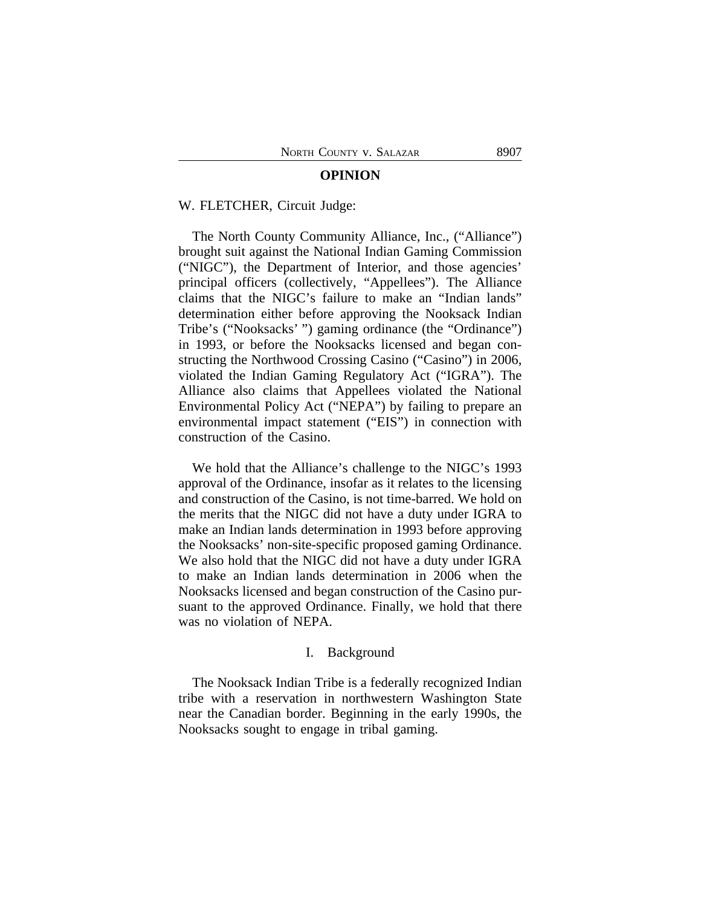#### **OPINION**

#### W. FLETCHER, Circuit Judge:

The North County Community Alliance, Inc., ("Alliance") brought suit against the National Indian Gaming Commission ("NIGC"), the Department of Interior, and those agencies' principal officers (collectively, "Appellees"). The Alliance claims that the NIGC's failure to make an "Indian lands" determination either before approving the Nooksack Indian Tribe's ("Nooksacks' ") gaming ordinance (the "Ordinance") in 1993, or before the Nooksacks licensed and began constructing the Northwood Crossing Casino ("Casino") in 2006, violated the Indian Gaming Regulatory Act ("IGRA"). The Alliance also claims that Appellees violated the National Environmental Policy Act ("NEPA") by failing to prepare an environmental impact statement ("EIS") in connection with construction of the Casino.

We hold that the Alliance's challenge to the NIGC's 1993 approval of the Ordinance, insofar as it relates to the licensing and construction of the Casino, is not time-barred. We hold on the merits that the NIGC did not have a duty under IGRA to make an Indian lands determination in 1993 before approving the Nooksacks' non-site-specific proposed gaming Ordinance. We also hold that the NIGC did not have a duty under IGRA to make an Indian lands determination in 2006 when the Nooksacks licensed and began construction of the Casino pursuant to the approved Ordinance. Finally, we hold that there was no violation of NEPA.

# I. Background

The Nooksack Indian Tribe is a federally recognized Indian tribe with a reservation in northwestern Washington State near the Canadian border. Beginning in the early 1990s, the Nooksacks sought to engage in tribal gaming.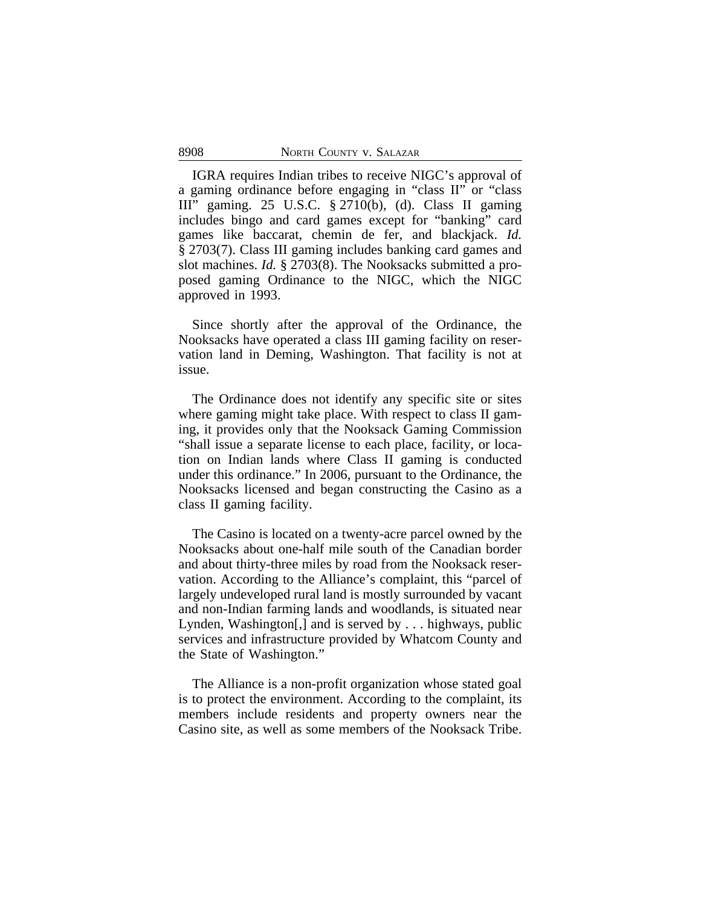IGRA requires Indian tribes to receive NIGC's approval of a gaming ordinance before engaging in "class II" or "class III" gaming. 25 U.S.C. § 2710(b), (d). Class II gaming includes bingo and card games except for "banking" card games like baccarat, chemin de fer, and blackjack. *Id.* § 2703(7). Class III gaming includes banking card games and slot machines. *Id.* § 2703(8). The Nooksacks submitted a proposed gaming Ordinance to the NIGC, which the NIGC approved in 1993.

Since shortly after the approval of the Ordinance, the Nooksacks have operated a class III gaming facility on reservation land in Deming, Washington. That facility is not at issue.

The Ordinance does not identify any specific site or sites where gaming might take place. With respect to class II gaming, it provides only that the Nooksack Gaming Commission "shall issue a separate license to each place, facility, or location on Indian lands where Class II gaming is conducted under this ordinance." In 2006, pursuant to the Ordinance, the Nooksacks licensed and began constructing the Casino as a class II gaming facility.

The Casino is located on a twenty-acre parcel owned by the Nooksacks about one-half mile south of the Canadian border and about thirty-three miles by road from the Nooksack reservation. According to the Alliance's complaint, this "parcel of largely undeveloped rural land is mostly surrounded by vacant and non-Indian farming lands and woodlands, is situated near Lynden, Washington[,] and is served by . . . highways, public services and infrastructure provided by Whatcom County and the State of Washington."

The Alliance is a non-profit organization whose stated goal is to protect the environment. According to the complaint, its members include residents and property owners near the Casino site, as well as some members of the Nooksack Tribe.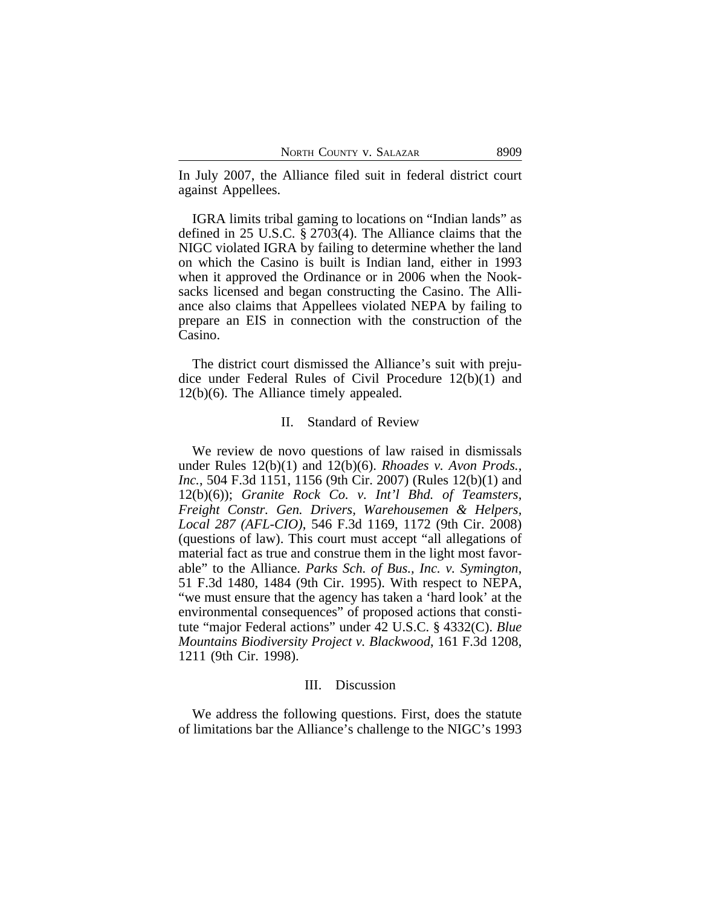In July 2007, the Alliance filed suit in federal district court against Appellees.

IGRA limits tribal gaming to locations on "Indian lands" as defined in 25 U.S.C. § 2703(4). The Alliance claims that the NIGC violated IGRA by failing to determine whether the land on which the Casino is built is Indian land, either in 1993 when it approved the Ordinance or in 2006 when the Nooksacks licensed and began constructing the Casino. The Alliance also claims that Appellees violated NEPA by failing to prepare an EIS in connection with the construction of the Casino.

The district court dismissed the Alliance's suit with prejudice under Federal Rules of Civil Procedure 12(b)(1) and 12(b)(6). The Alliance timely appealed.

#### II. Standard of Review

We review de novo questions of law raised in dismissals under Rules 12(b)(1) and 12(b)(6). *Rhoades v. Avon Prods., Inc.*, 504 F.3d 1151, 1156 (9th Cir. 2007) (Rules 12(b)(1) and 12(b)(6)); *Granite Rock Co. v. Int'l Bhd. of Teamsters, Freight Constr. Gen. Drivers, Warehousemen & Helpers, Local 287 (AFL-CIO)*, 546 F.3d 1169, 1172 (9th Cir. 2008) (questions of law). This court must accept "all allegations of material fact as true and construe them in the light most favorable" to the Alliance. *Parks Sch. of Bus., Inc. v. Symington*, 51 F.3d 1480, 1484 (9th Cir. 1995). With respect to NEPA, "we must ensure that the agency has taken a 'hard look' at the environmental consequences" of proposed actions that constitute "major Federal actions" under 42 U.S.C. § 4332(C). *Blue Mountains Biodiversity Project v. Blackwood*, 161 F.3d 1208, 1211 (9th Cir. 1998).

#### III. Discussion

We address the following questions. First, does the statute of limitations bar the Alliance's challenge to the NIGC's 1993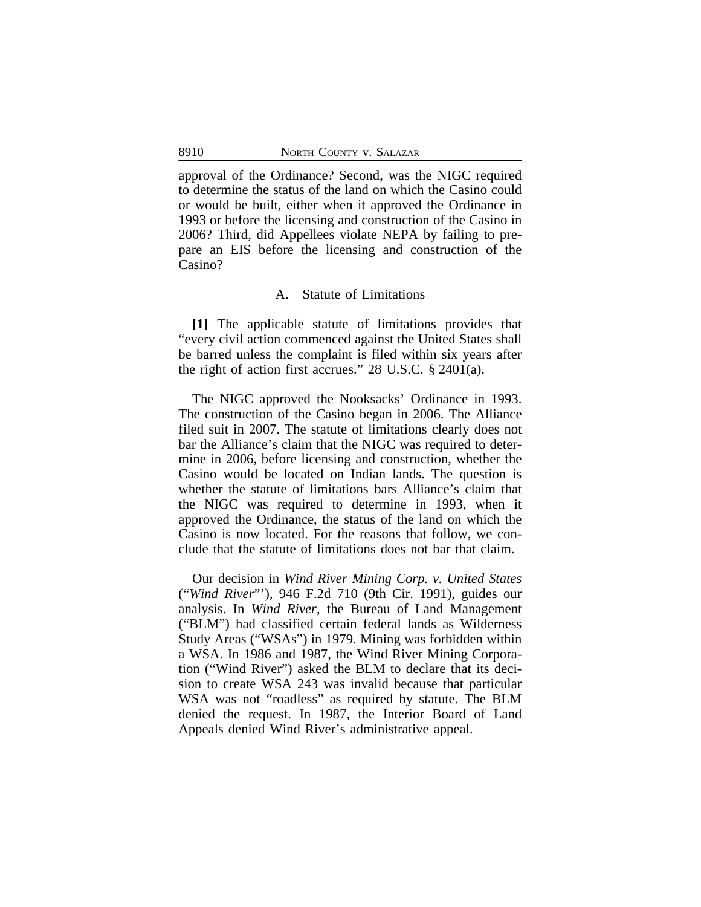approval of the Ordinance? Second, was the NIGC required to determine the status of the land on which the Casino could or would be built, either when it approved the Ordinance in 1993 or before the licensing and construction of the Casino in 2006? Third, did Appellees violate NEPA by failing to prepare an EIS before the licensing and construction of the Casino?

#### A. Statute of Limitations

**[1]** The applicable statute of limitations provides that "every civil action commenced against the United States shall be barred unless the complaint is filed within six years after the right of action first accrues." 28 U.S.C. § 2401(a).

The NIGC approved the Nooksacks' Ordinance in 1993. The construction of the Casino began in 2006. The Alliance filed suit in 2007. The statute of limitations clearly does not bar the Alliance's claim that the NIGC was required to determine in 2006, before licensing and construction, whether the Casino would be located on Indian lands. The question is whether the statute of limitations bars Alliance's claim that the NIGC was required to determine in 1993, when it approved the Ordinance, the status of the land on which the Casino is now located. For the reasons that follow, we conclude that the statute of limitations does not bar that claim.

Our decision in *Wind River Mining Corp. v. United States* ("*Wind River*"'), 946 F.2d 710 (9th Cir. 1991), guides our analysis. In *Wind River*, the Bureau of Land Management ("BLM") had classified certain federal lands as Wilderness Study Areas ("WSAs") in 1979. Mining was forbidden within a WSA. In 1986 and 1987, the Wind River Mining Corporation ("Wind River") asked the BLM to declare that its decision to create WSA 243 was invalid because that particular WSA was not "roadless" as required by statute. The BLM denied the request. In 1987, the Interior Board of Land Appeals denied Wind River's administrative appeal.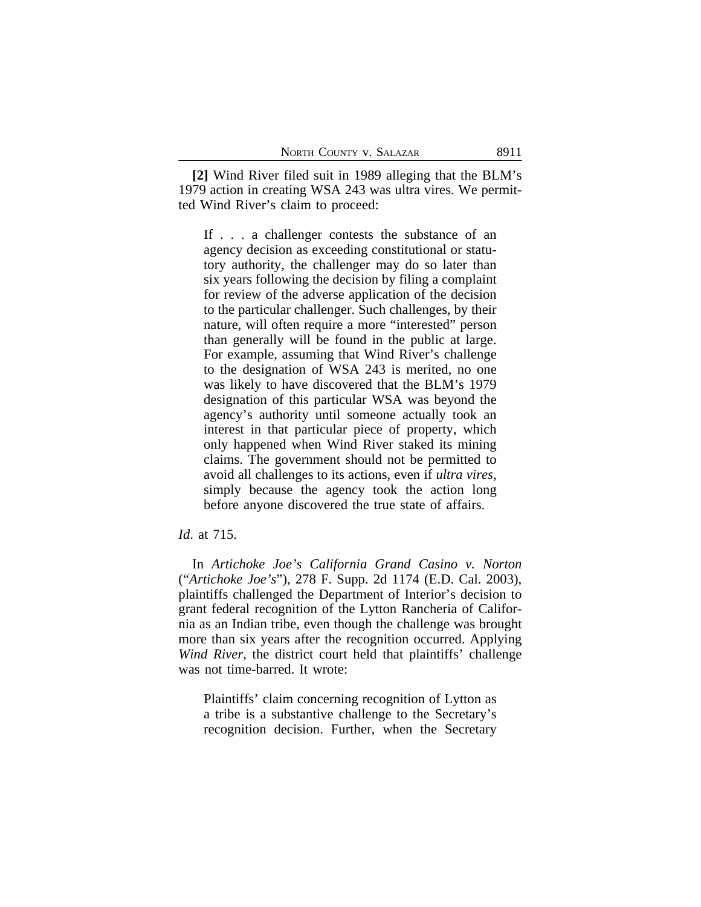**[2]** Wind River filed suit in 1989 alleging that the BLM's 1979 action in creating WSA 243 was ultra vires. We permitted Wind River's claim to proceed:

If . . . a challenger contests the substance of an agency decision as exceeding constitutional or statutory authority, the challenger may do so later than six years following the decision by filing a complaint for review of the adverse application of the decision to the particular challenger. Such challenges, by their nature, will often require a more "interested" person than generally will be found in the public at large. For example, assuming that Wind River's challenge to the designation of WSA 243 is merited, no one was likely to have discovered that the BLM's 1979 designation of this particular WSA was beyond the agency's authority until someone actually took an interest in that particular piece of property, which only happened when Wind River staked its mining claims. The government should not be permitted to avoid all challenges to its actions, even if *ultra vires*, simply because the agency took the action long before anyone discovered the true state of affairs.

# *Id*. at 715.

In *Artichoke Joe's California Grand Casino v. Norton* ("*Artichoke Joe's*"), 278 F. Supp. 2d 1174 (E.D. Cal. 2003), plaintiffs challenged the Department of Interior's decision to grant federal recognition of the Lytton Rancheria of California as an Indian tribe, even though the challenge was brought more than six years after the recognition occurred. Applying *Wind River*, the district court held that plaintiffs' challenge was not time-barred. It wrote:

Plaintiffs' claim concerning recognition of Lytton as a tribe is a substantive challenge to the Secretary's recognition decision. Further, when the Secretary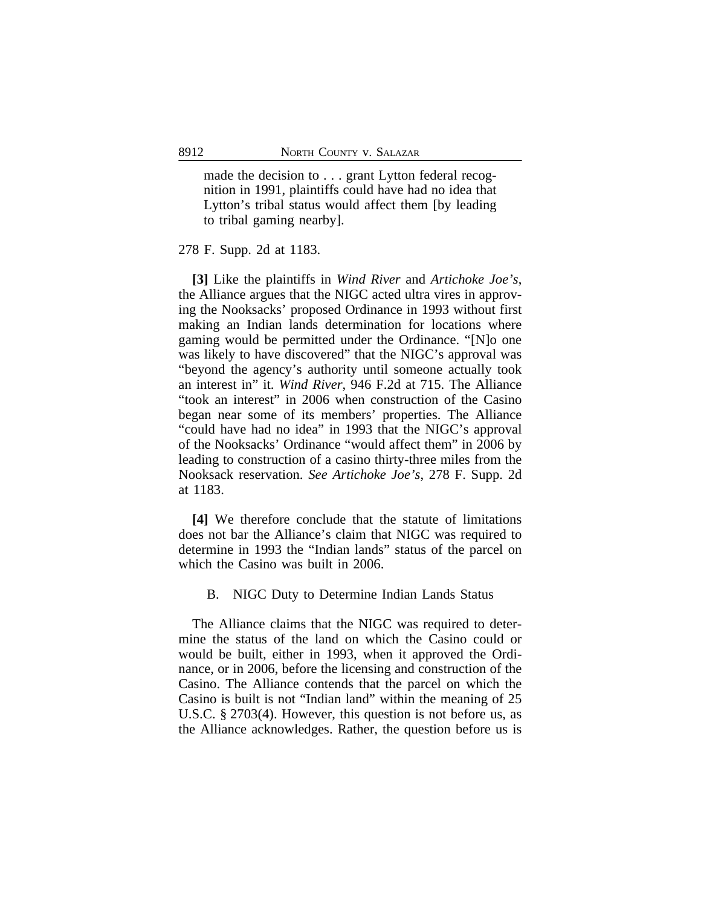made the decision to . . . grant Lytton federal recognition in 1991, plaintiffs could have had no idea that Lytton's tribal status would affect them [by leading to tribal gaming nearby].

278 F. Supp. 2d at 1183.

**[3]** Like the plaintiffs in *Wind River* and *Artichoke Joe's*, the Alliance argues that the NIGC acted ultra vires in approving the Nooksacks' proposed Ordinance in 1993 without first making an Indian lands determination for locations where gaming would be permitted under the Ordinance. "[N]o one was likely to have discovered" that the NIGC's approval was "beyond the agency's authority until someone actually took an interest in" it. *Wind River*, 946 F.2d at 715. The Alliance "took an interest" in 2006 when construction of the Casino began near some of its members' properties. The Alliance "could have had no idea" in 1993 that the NIGC's approval of the Nooksacks' Ordinance "would affect them" in 2006 by leading to construction of a casino thirty-three miles from the Nooksack reservation. *See Artichoke Joe's*, 278 F. Supp. 2d at 1183.

**[4]** We therefore conclude that the statute of limitations does not bar the Alliance's claim that NIGC was required to determine in 1993 the "Indian lands" status of the parcel on which the Casino was built in 2006.

B. NIGC Duty to Determine Indian Lands Status

The Alliance claims that the NIGC was required to determine the status of the land on which the Casino could or would be built, either in 1993, when it approved the Ordinance, or in 2006, before the licensing and construction of the Casino. The Alliance contends that the parcel on which the Casino is built is not "Indian land" within the meaning of 25 U.S.C. § 2703(4). However, this question is not before us, as the Alliance acknowledges. Rather, the question before us is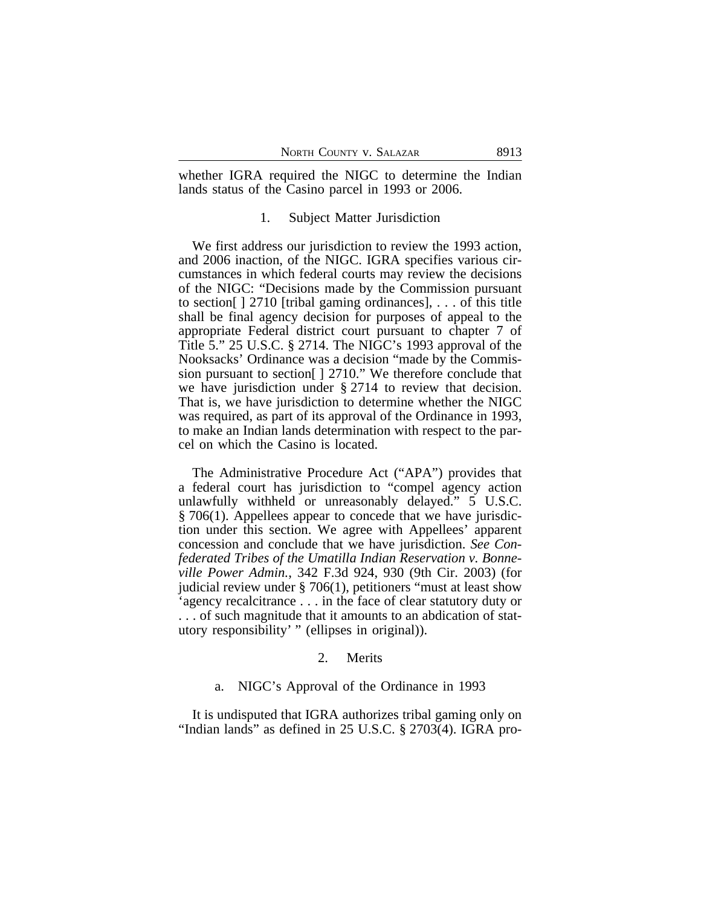whether IGRA required the NIGC to determine the Indian lands status of the Casino parcel in 1993 or 2006.

#### 1. Subject Matter Jurisdiction

We first address our jurisdiction to review the 1993 action, and 2006 inaction, of the NIGC. IGRA specifies various circumstances in which federal courts may review the decisions of the NIGC: "Decisions made by the Commission pursuant to section[ ] 2710 [tribal gaming ordinances], . . . of this title shall be final agency decision for purposes of appeal to the appropriate Federal district court pursuant to chapter 7 of Title 5." 25 U.S.C. § 2714. The NIGC's 1993 approval of the Nooksacks' Ordinance was a decision "made by the Commission pursuant to section[ ] 2710." We therefore conclude that we have jurisdiction under § 2714 to review that decision. That is, we have jurisdiction to determine whether the NIGC was required, as part of its approval of the Ordinance in 1993, to make an Indian lands determination with respect to the parcel on which the Casino is located.

The Administrative Procedure Act ("APA") provides that a federal court has jurisdiction to "compel agency action unlawfully withheld or unreasonably delayed." 5 U.S.C. § 706(1). Appellees appear to concede that we have jurisdiction under this section. We agree with Appellees' apparent concession and conclude that we have jurisdiction. *See Confederated Tribes of the Umatilla Indian Reservation v. Bonneville Power Admin.*, 342 F.3d 924, 930 (9th Cir. 2003) (for judicial review under § 706(1), petitioners "must at least show 'agency recalcitrance . . . in the face of clear statutory duty or . . . of such magnitude that it amounts to an abdication of statutory responsibility' " (ellipses in original)).

# 2. Merits

#### a. NIGC's Approval of the Ordinance in 1993

It is undisputed that IGRA authorizes tribal gaming only on "Indian lands" as defined in 25 U.S.C. § 2703(4). IGRA pro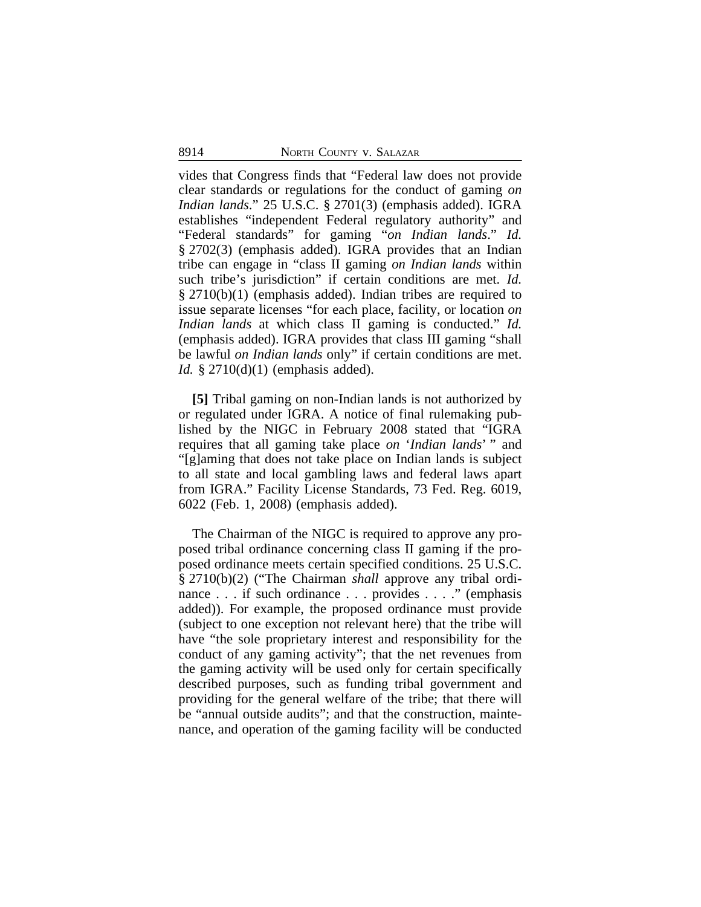vides that Congress finds that "Federal law does not provide clear standards or regulations for the conduct of gaming *on Indian lands*." 25 U.S.C. § 2701(3) (emphasis added). IGRA establishes "independent Federal regulatory authority" and "Federal standards" for gaming "*on Indian lands*." *Id.* § 2702(3) (emphasis added). IGRA provides that an Indian tribe can engage in "class II gaming *on Indian lands* within such tribe's jurisdiction" if certain conditions are met. *Id.* § 2710(b)(1) (emphasis added). Indian tribes are required to issue separate licenses "for each place, facility, or location *on Indian lands* at which class II gaming is conducted." *Id.* (emphasis added). IGRA provides that class III gaming "shall be lawful *on Indian lands* only" if certain conditions are met. *Id.* § 2710(d)(1) (emphasis added).

**[5]** Tribal gaming on non-Indian lands is not authorized by or regulated under IGRA. A notice of final rulemaking published by the NIGC in February 2008 stated that "IGRA requires that all gaming take place *on* '*Indian lands*' " and "[g]aming that does not take place on Indian lands is subject to all state and local gambling laws and federal laws apart from IGRA." Facility License Standards, 73 Fed. Reg. 6019, 6022 (Feb. 1, 2008) (emphasis added).

The Chairman of the NIGC is required to approve any proposed tribal ordinance concerning class II gaming if the proposed ordinance meets certain specified conditions. 25 U.S.C. § 2710(b)(2) ("The Chairman *shall* approve any tribal ordinance . . . if such ordinance . . . provides . . . ." (emphasis added)). For example, the proposed ordinance must provide (subject to one exception not relevant here) that the tribe will have "the sole proprietary interest and responsibility for the conduct of any gaming activity"; that the net revenues from the gaming activity will be used only for certain specifically described purposes, such as funding tribal government and providing for the general welfare of the tribe; that there will be "annual outside audits"; and that the construction, maintenance, and operation of the gaming facility will be conducted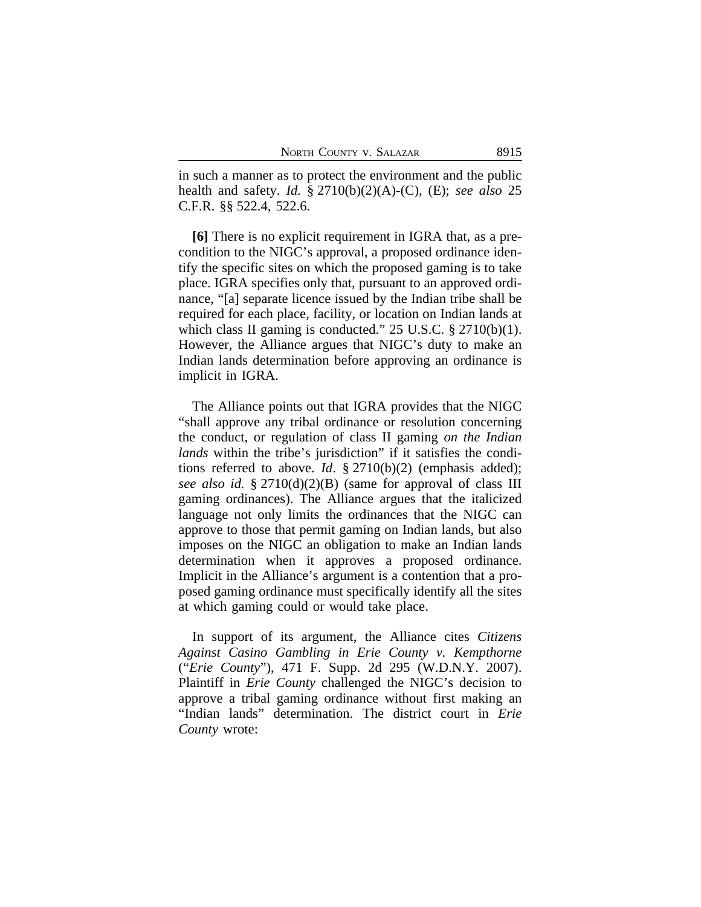in such a manner as to protect the environment and the public health and safety. *Id.* § 2710(b)(2)(A)-(C), (E); *see also* 25 C.F.R. §§ 522.4, 522.6.

**[6]** There is no explicit requirement in IGRA that, as a precondition to the NIGC's approval, a proposed ordinance identify the specific sites on which the proposed gaming is to take place. IGRA specifies only that, pursuant to an approved ordinance, "[a] separate licence issued by the Indian tribe shall be required for each place, facility, or location on Indian lands at which class II gaming is conducted." 25 U.S.C. § 2710(b)(1). However, the Alliance argues that NIGC's duty to make an Indian lands determination before approving an ordinance is implicit in IGRA.

The Alliance points out that IGRA provides that the NIGC "shall approve any tribal ordinance or resolution concerning the conduct, or regulation of class II gaming *on the Indian lands* within the tribe's jurisdiction" if it satisfies the conditions referred to above. *Id*. § 2710(b)(2) (emphasis added); *see also id.* § 2710(d)(2)(B) (same for approval of class III gaming ordinances). The Alliance argues that the italicized language not only limits the ordinances that the NIGC can approve to those that permit gaming on Indian lands, but also imposes on the NIGC an obligation to make an Indian lands determination when it approves a proposed ordinance. Implicit in the Alliance's argument is a contention that a proposed gaming ordinance must specifically identify all the sites at which gaming could or would take place.

In support of its argument, the Alliance cites *Citizens Against Casino Gambling in Erie County v. Kempthorne* ("*Erie County*"), 471 F. Supp. 2d 295 (W.D.N.Y. 2007). Plaintiff in *Erie County* challenged the NIGC's decision to approve a tribal gaming ordinance without first making an "Indian lands" determination. The district court in *Erie County* wrote: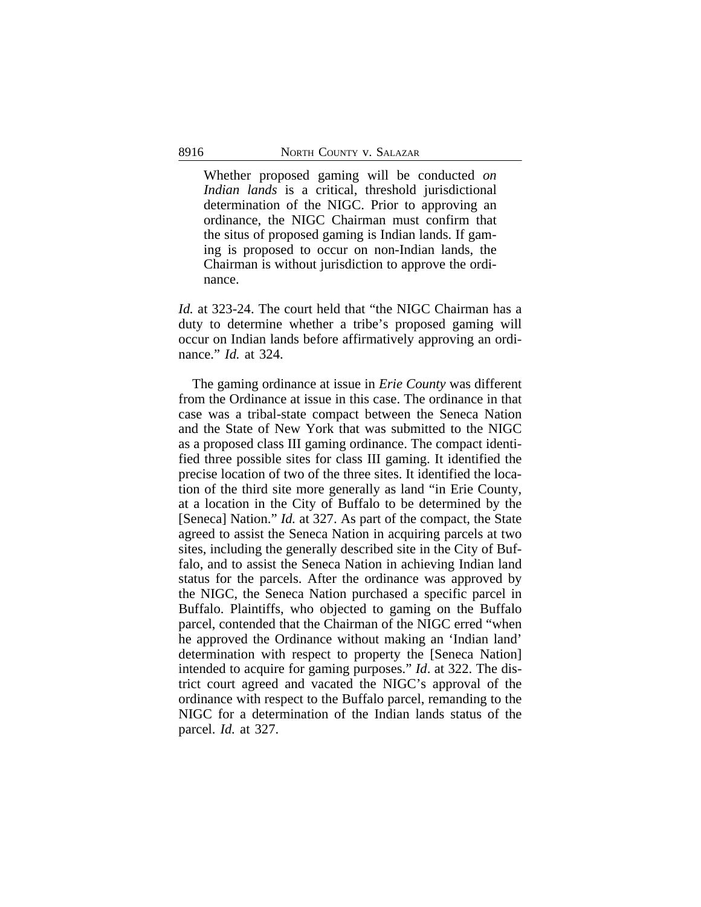Whether proposed gaming will be conducted *on Indian lands* is a critical, threshold jurisdictional determination of the NIGC. Prior to approving an ordinance, the NIGC Chairman must confirm that the situs of proposed gaming is Indian lands. If gaming is proposed to occur on non-Indian lands, the Chairman is without jurisdiction to approve the ordinance.

*Id.* at 323-24. The court held that "the NIGC Chairman has a duty to determine whether a tribe's proposed gaming will occur on Indian lands before affirmatively approving an ordinance." *Id.* at 324.

The gaming ordinance at issue in *Erie County* was different from the Ordinance at issue in this case. The ordinance in that case was a tribal-state compact between the Seneca Nation and the State of New York that was submitted to the NIGC as a proposed class III gaming ordinance. The compact identified three possible sites for class III gaming. It identified the precise location of two of the three sites. It identified the location of the third site more generally as land "in Erie County, at a location in the City of Buffalo to be determined by the [Seneca] Nation." *Id.* at 327. As part of the compact, the State agreed to assist the Seneca Nation in acquiring parcels at two sites, including the generally described site in the City of Buffalo, and to assist the Seneca Nation in achieving Indian land status for the parcels. After the ordinance was approved by the NIGC, the Seneca Nation purchased a specific parcel in Buffalo. Plaintiffs, who objected to gaming on the Buffalo parcel, contended that the Chairman of the NIGC erred "when he approved the Ordinance without making an 'Indian land' determination with respect to property the [Seneca Nation] intended to acquire for gaming purposes." *Id*. at 322. The district court agreed and vacated the NIGC's approval of the ordinance with respect to the Buffalo parcel, remanding to the NIGC for a determination of the Indian lands status of the parcel. *Id.* at 327.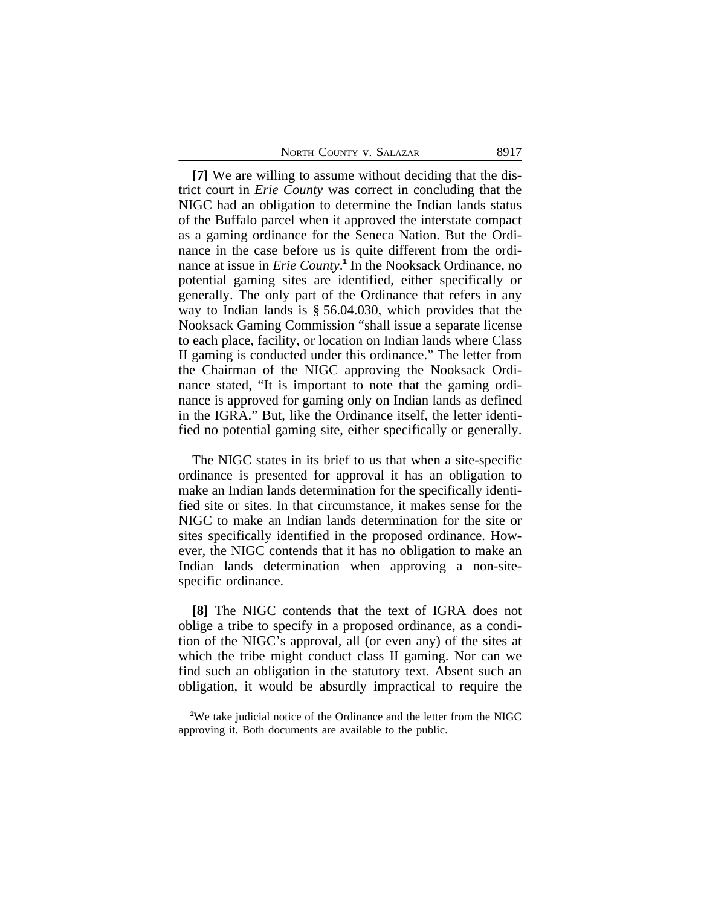**[7]** We are willing to assume without deciding that the district court in *Erie County* was correct in concluding that the NIGC had an obligation to determine the Indian lands status of the Buffalo parcel when it approved the interstate compact as a gaming ordinance for the Seneca Nation. But the Ordinance in the case before us is quite different from the ordinance at issue in *Erie County*.<sup>1</sup> In the Nooksack Ordinance, no potential gaming sites are identified, either specifically or generally. The only part of the Ordinance that refers in any way to Indian lands is § 56.04.030, which provides that the Nooksack Gaming Commission "shall issue a separate license to each place, facility, or location on Indian lands where Class II gaming is conducted under this ordinance." The letter from the Chairman of the NIGC approving the Nooksack Ordinance stated, "It is important to note that the gaming ordinance is approved for gaming only on Indian lands as defined in the IGRA." But, like the Ordinance itself, the letter identified no potential gaming site, either specifically or generally.

The NIGC states in its brief to us that when a site-specific ordinance is presented for approval it has an obligation to make an Indian lands determination for the specifically identified site or sites. In that circumstance, it makes sense for the NIGC to make an Indian lands determination for the site or sites specifically identified in the proposed ordinance. However, the NIGC contends that it has no obligation to make an Indian lands determination when approving a non-sitespecific ordinance.

**[8]** The NIGC contends that the text of IGRA does not oblige a tribe to specify in a proposed ordinance, as a condition of the NIGC's approval, all (or even any) of the sites at which the tribe might conduct class II gaming. Nor can we find such an obligation in the statutory text. Absent such an obligation, it would be absurdly impractical to require the

<sup>&</sup>lt;sup>1</sup>We take judicial notice of the Ordinance and the letter from the NIGC approving it. Both documents are available to the public.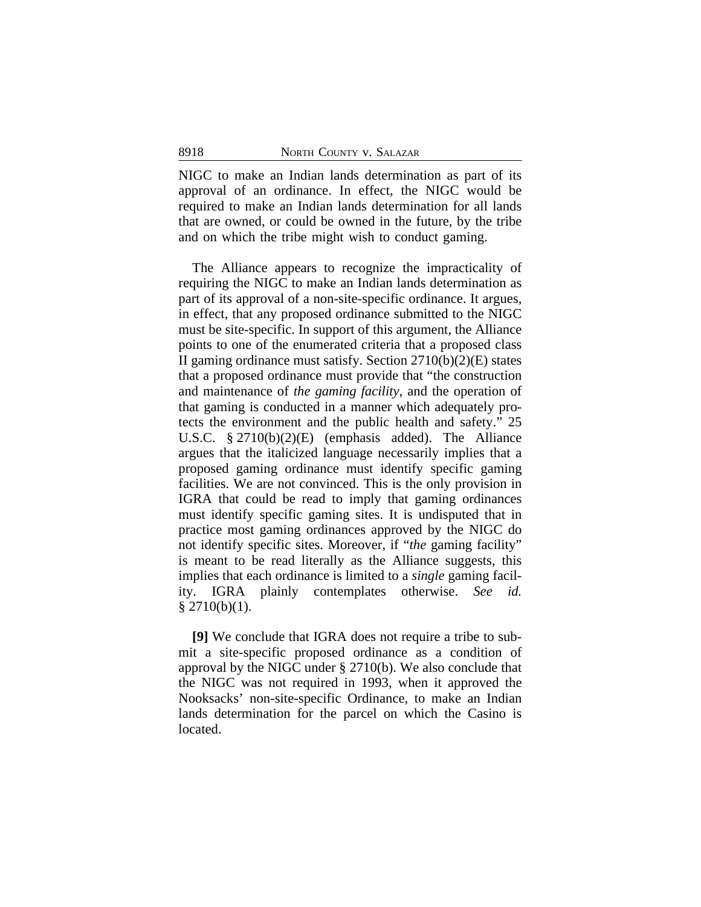NIGC to make an Indian lands determination as part of its approval of an ordinance. In effect, the NIGC would be required to make an Indian lands determination for all lands that are owned, or could be owned in the future, by the tribe and on which the tribe might wish to conduct gaming.

The Alliance appears to recognize the impracticality of requiring the NIGC to make an Indian lands determination as part of its approval of a non-site-specific ordinance. It argues, in effect, that any proposed ordinance submitted to the NIGC must be site-specific. In support of this argument, the Alliance points to one of the enumerated criteria that a proposed class II gaming ordinance must satisfy. Section  $2710(b)(2)(E)$  states that a proposed ordinance must provide that "the construction and maintenance of *the gaming facility*, and the operation of that gaming is conducted in a manner which adequately protects the environment and the public health and safety." 25 U.S.C. § 2710(b)(2)(E) (emphasis added). The Alliance argues that the italicized language necessarily implies that a proposed gaming ordinance must identify specific gaming facilities. We are not convinced. This is the only provision in IGRA that could be read to imply that gaming ordinances must identify specific gaming sites. It is undisputed that in practice most gaming ordinances approved by the NIGC do not identify specific sites. Moreover, if "*the* gaming facility" is meant to be read literally as the Alliance suggests, this implies that each ordinance is limited to a *single* gaming facility. IGRA plainly contemplates otherwise. *See id.*  $$2710(b)(1).$ 

**[9]** We conclude that IGRA does not require a tribe to submit a site-specific proposed ordinance as a condition of approval by the NIGC under § 2710(b). We also conclude that the NIGC was not required in 1993, when it approved the Nooksacks' non-site-specific Ordinance, to make an Indian lands determination for the parcel on which the Casino is located.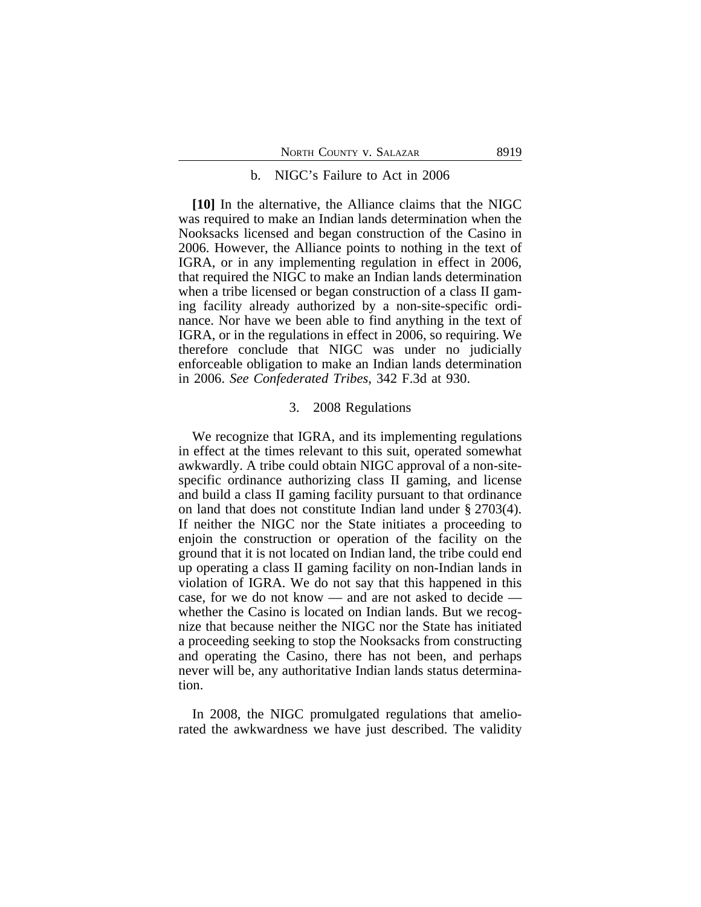#### b. NIGC's Failure to Act in 2006

**[10]** In the alternative, the Alliance claims that the NIGC was required to make an Indian lands determination when the Nooksacks licensed and began construction of the Casino in 2006. However, the Alliance points to nothing in the text of IGRA, or in any implementing regulation in effect in 2006, that required the NIGC to make an Indian lands determination when a tribe licensed or began construction of a class II gaming facility already authorized by a non-site-specific ordinance. Nor have we been able to find anything in the text of IGRA, or in the regulations in effect in 2006, so requiring. We therefore conclude that NIGC was under no judicially enforceable obligation to make an Indian lands determination in 2006. *See Confederated Tribes*, 342 F.3d at 930.

## 3. 2008 Regulations

We recognize that IGRA, and its implementing regulations in effect at the times relevant to this suit, operated somewhat awkwardly. A tribe could obtain NIGC approval of a non-sitespecific ordinance authorizing class II gaming, and license and build a class II gaming facility pursuant to that ordinance on land that does not constitute Indian land under § 2703(4). If neither the NIGC nor the State initiates a proceeding to enjoin the construction or operation of the facility on the ground that it is not located on Indian land, the tribe could end up operating a class II gaming facility on non-Indian lands in violation of IGRA. We do not say that this happened in this case, for we do not know — and are not asked to decide whether the Casino is located on Indian lands. But we recognize that because neither the NIGC nor the State has initiated a proceeding seeking to stop the Nooksacks from constructing and operating the Casino, there has not been, and perhaps never will be, any authoritative Indian lands status determination.

In 2008, the NIGC promulgated regulations that ameliorated the awkwardness we have just described. The validity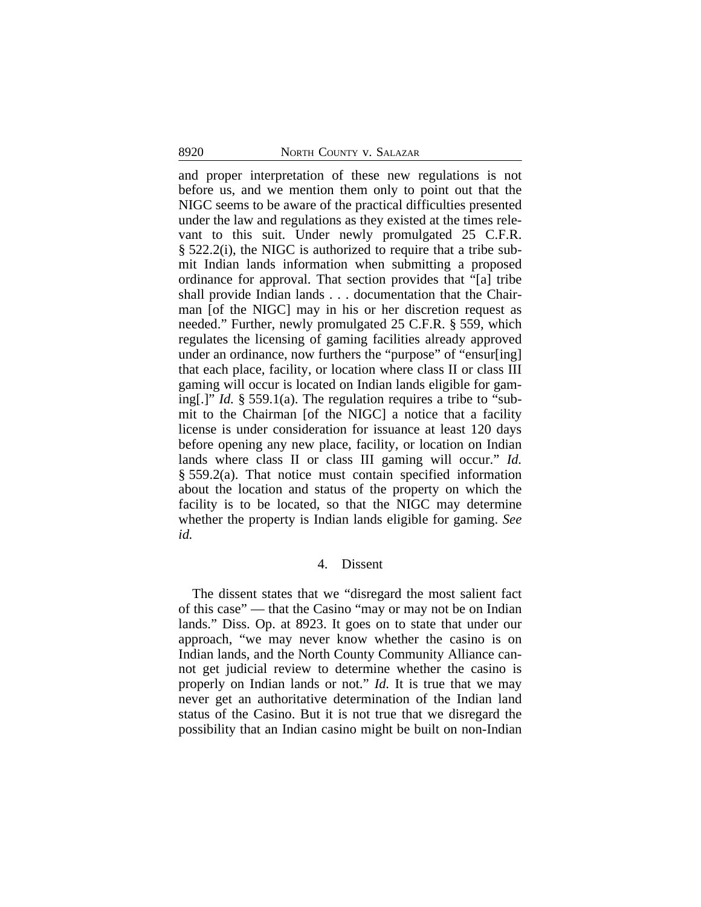and proper interpretation of these new regulations is not before us, and we mention them only to point out that the NIGC seems to be aware of the practical difficulties presented under the law and regulations as they existed at the times relevant to this suit. Under newly promulgated 25 C.F.R. § 522.2(i), the NIGC is authorized to require that a tribe submit Indian lands information when submitting a proposed ordinance for approval. That section provides that "[a] tribe shall provide Indian lands . . . documentation that the Chairman [of the NIGC] may in his or her discretion request as needed." Further, newly promulgated 25 C.F.R. § 559, which regulates the licensing of gaming facilities already approved under an ordinance, now furthers the "purpose" of "ensur[ing] that each place, facility, or location where class II or class III gaming will occur is located on Indian lands eligible for gaming[.]" *Id.* § 559.1(a). The regulation requires a tribe to "submit to the Chairman [of the NIGC] a notice that a facility license is under consideration for issuance at least 120 days before opening any new place, facility, or location on Indian lands where class II or class III gaming will occur." *Id.* § 559.2(a). That notice must contain specified information about the location and status of the property on which the facility is to be located, so that the NIGC may determine whether the property is Indian lands eligible for gaming. *See id.* 

# 4. Dissent

The dissent states that we "disregard the most salient fact of this case" — that the Casino "may or may not be on Indian lands." Diss. Op. at 8923. It goes on to state that under our approach, "we may never know whether the casino is on Indian lands, and the North County Community Alliance cannot get judicial review to determine whether the casino is properly on Indian lands or not." *Id.* It is true that we may never get an authoritative determination of the Indian land status of the Casino. But it is not true that we disregard the possibility that an Indian casino might be built on non-Indian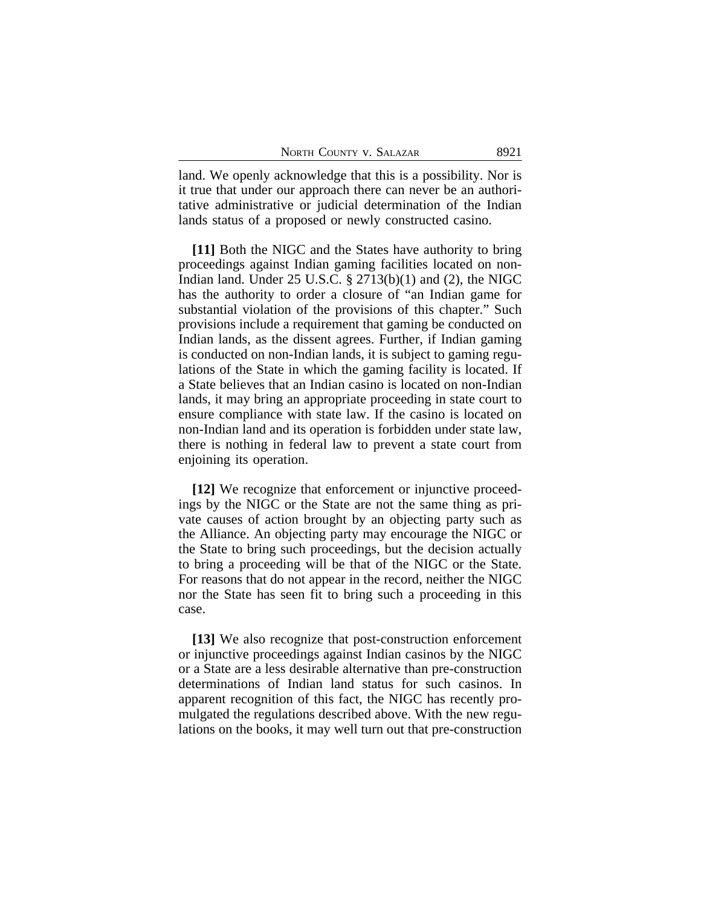land. We openly acknowledge that this is a possibility. Nor is it true that under our approach there can never be an authoritative administrative or judicial determination of the Indian lands status of a proposed or newly constructed casino.

**[11]** Both the NIGC and the States have authority to bring proceedings against Indian gaming facilities located on non-Indian land. Under  $25 \text{ U.S.C. }$  \$  $2713(b)(1)$  and  $(2)$ , the NIGC has the authority to order a closure of "an Indian game for substantial violation of the provisions of this chapter." Such provisions include a requirement that gaming be conducted on Indian lands, as the dissent agrees. Further, if Indian gaming is conducted on non-Indian lands, it is subject to gaming regulations of the State in which the gaming facility is located. If a State believes that an Indian casino is located on non-Indian lands, it may bring an appropriate proceeding in state court to ensure compliance with state law. If the casino is located on non-Indian land and its operation is forbidden under state law, there is nothing in federal law to prevent a state court from enjoining its operation.

**[12]** We recognize that enforcement or injunctive proceedings by the NIGC or the State are not the same thing as private causes of action brought by an objecting party such as the Alliance. An objecting party may encourage the NIGC or the State to bring such proceedings, but the decision actually to bring a proceeding will be that of the NIGC or the State. For reasons that do not appear in the record, neither the NIGC nor the State has seen fit to bring such a proceeding in this case.

**[13]** We also recognize that post-construction enforcement or injunctive proceedings against Indian casinos by the NIGC or a State are a less desirable alternative than pre-construction determinations of Indian land status for such casinos. In apparent recognition of this fact, the NIGC has recently promulgated the regulations described above. With the new regulations on the books, it may well turn out that pre-construction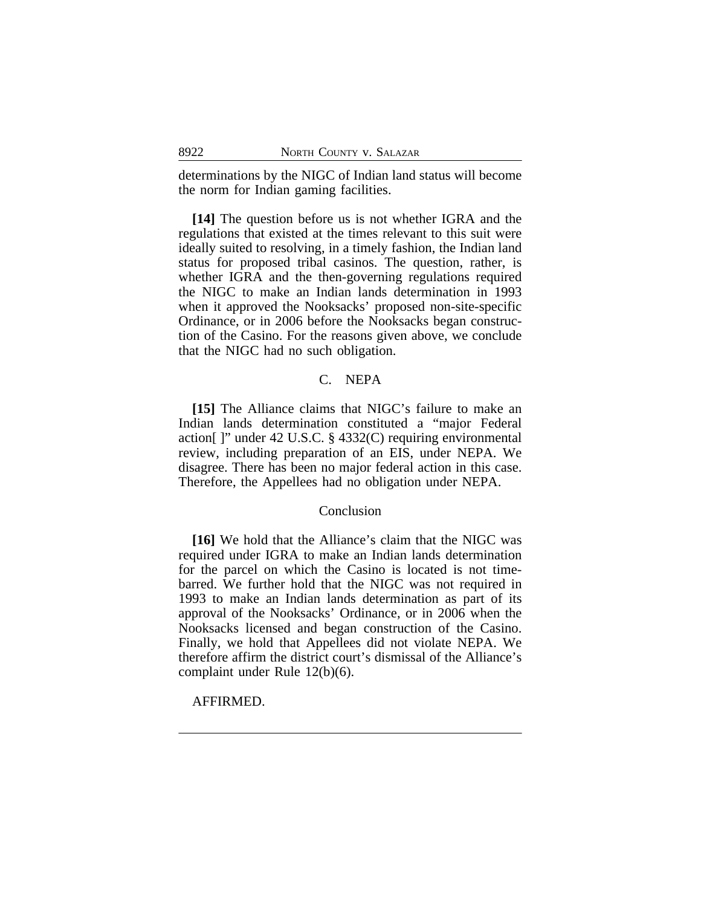determinations by the NIGC of Indian land status will become the norm for Indian gaming facilities.

**[14]** The question before us is not whether IGRA and the regulations that existed at the times relevant to this suit were ideally suited to resolving, in a timely fashion, the Indian land status for proposed tribal casinos. The question, rather, is whether IGRA and the then-governing regulations required the NIGC to make an Indian lands determination in 1993 when it approved the Nooksacks' proposed non-site-specific Ordinance, or in 2006 before the Nooksacks began construction of the Casino. For the reasons given above, we conclude that the NIGC had no such obligation.

# C. NEPA

**[15]** The Alliance claims that NIGC's failure to make an Indian lands determination constituted a "major Federal action[ ]" under 42 U.S.C. § 4332(C) requiring environmental review, including preparation of an EIS, under NEPA. We disagree. There has been no major federal action in this case. Therefore, the Appellees had no obligation under NEPA.

# Conclusion

**[16]** We hold that the Alliance's claim that the NIGC was required under IGRA to make an Indian lands determination for the parcel on which the Casino is located is not timebarred. We further hold that the NIGC was not required in 1993 to make an Indian lands determination as part of its approval of the Nooksacks' Ordinance, or in 2006 when the Nooksacks licensed and began construction of the Casino. Finally, we hold that Appellees did not violate NEPA. We therefore affirm the district court's dismissal of the Alliance's complaint under Rule 12(b)(6).

## AFFIRMED.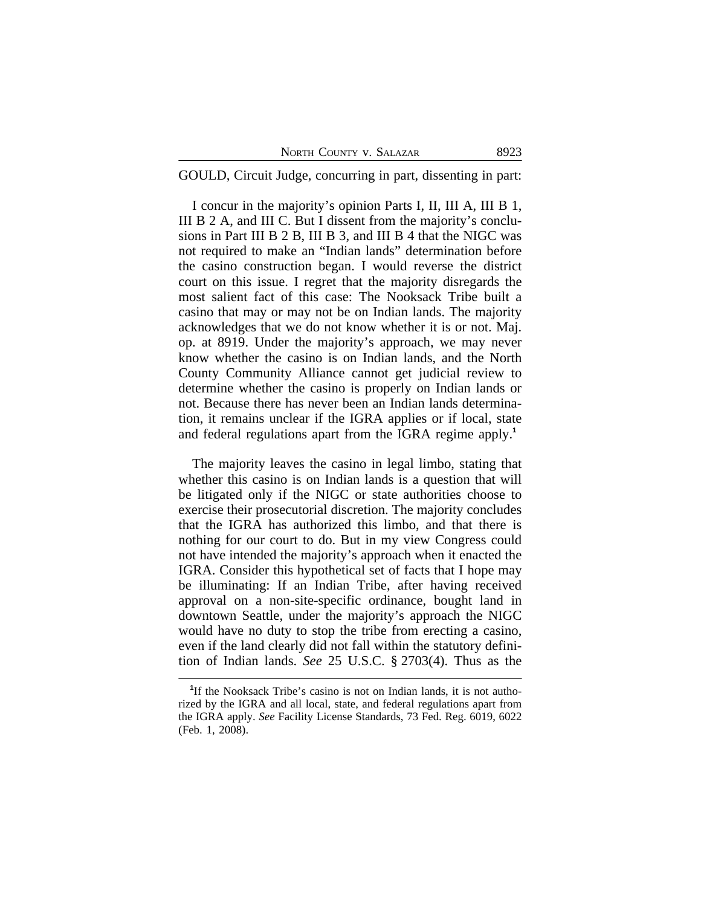|  | NORTH COUNTY V. SALAZAR | 8923 |
|--|-------------------------|------|
|  |                         |      |

GOULD, Circuit Judge, concurring in part, dissenting in part:

I concur in the majority's opinion Parts I, II, III A, III B 1, III B 2 A, and III C. But I dissent from the majority's conclusions in Part III B 2 B, III B 3, and III B 4 that the NIGC was not required to make an "Indian lands" determination before the casino construction began. I would reverse the district court on this issue. I regret that the majority disregards the most salient fact of this case: The Nooksack Tribe built a casino that may or may not be on Indian lands. The majority acknowledges that we do not know whether it is or not. Maj. op. at 8919. Under the majority's approach, we may never know whether the casino is on Indian lands, and the North County Community Alliance cannot get judicial review to determine whether the casino is properly on Indian lands or not. Because there has never been an Indian lands determination, it remains unclear if the IGRA applies or if local, state and federal regulations apart from the IGRA regime apply.**<sup>1</sup>**

The majority leaves the casino in legal limbo, stating that whether this casino is on Indian lands is a question that will be litigated only if the NIGC or state authorities choose to exercise their prosecutorial discretion. The majority concludes that the IGRA has authorized this limbo, and that there is nothing for our court to do. But in my view Congress could not have intended the majority's approach when it enacted the IGRA. Consider this hypothetical set of facts that I hope may be illuminating: If an Indian Tribe, after having received approval on a non-site-specific ordinance, bought land in downtown Seattle, under the majority's approach the NIGC would have no duty to stop the tribe from erecting a casino, even if the land clearly did not fall within the statutory definition of Indian lands. *See* 25 U.S.C. § 2703(4). Thus as the

<sup>&</sup>lt;sup>1</sup>If the Nooksack Tribe's casino is not on Indian lands, it is not authorized by the IGRA and all local, state, and federal regulations apart from the IGRA apply. *See* Facility License Standards, 73 Fed. Reg. 6019, 6022 (Feb. 1, 2008).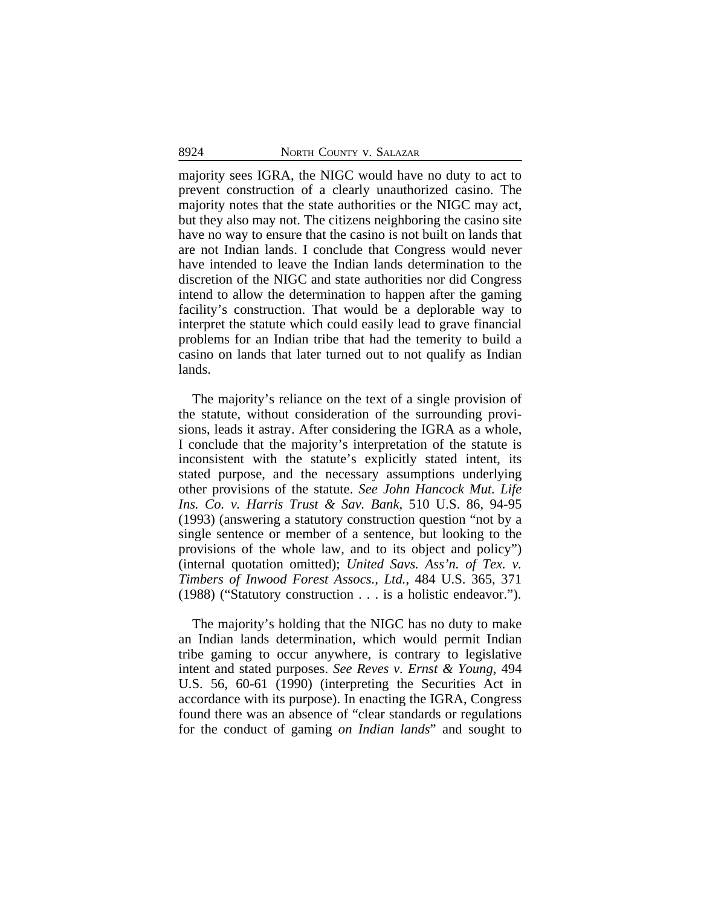majority sees IGRA, the NIGC would have no duty to act to prevent construction of a clearly unauthorized casino. The majority notes that the state authorities or the NIGC may act, but they also may not. The citizens neighboring the casino site have no way to ensure that the casino is not built on lands that are not Indian lands. I conclude that Congress would never have intended to leave the Indian lands determination to the discretion of the NIGC and state authorities nor did Congress intend to allow the determination to happen after the gaming facility's construction. That would be a deplorable way to interpret the statute which could easily lead to grave financial problems for an Indian tribe that had the temerity to build a casino on lands that later turned out to not qualify as Indian lands.

The majority's reliance on the text of a single provision of the statute, without consideration of the surrounding provisions, leads it astray. After considering the IGRA as a whole, I conclude that the majority's interpretation of the statute is inconsistent with the statute's explicitly stated intent, its stated purpose, and the necessary assumptions underlying other provisions of the statute. *See John Hancock Mut. Life Ins. Co. v. Harris Trust & Sav. Bank*, 510 U.S. 86, 94-95 (1993) (answering a statutory construction question "not by a single sentence or member of a sentence, but looking to the provisions of the whole law, and to its object and policy") (internal quotation omitted); *United Savs. Ass'n. of Tex. v. Timbers of Inwood Forest Assocs., Ltd.*, 484 U.S. 365, 371 (1988) ("Statutory construction . . . is a holistic endeavor.").

The majority's holding that the NIGC has no duty to make an Indian lands determination, which would permit Indian tribe gaming to occur anywhere, is contrary to legislative intent and stated purposes. *See Reves v. Ernst & Young*, 494 U.S. 56, 60-61 (1990) (interpreting the Securities Act in accordance with its purpose). In enacting the IGRA, Congress found there was an absence of "clear standards or regulations for the conduct of gaming *on Indian lands*" and sought to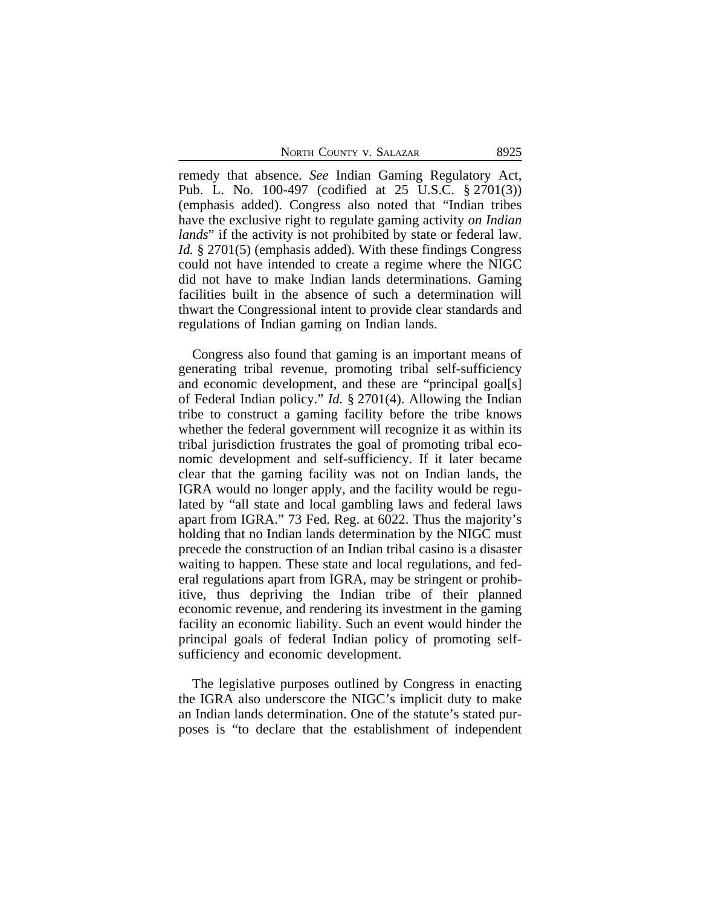NORTH COUNTY V. SALAZAR 8925

remedy that absence. *See* Indian Gaming Regulatory Act, Pub. L. No. 100-497 (codified at 25 U.S.C. § 2701(3)) (emphasis added). Congress also noted that "Indian tribes have the exclusive right to regulate gaming activity *on Indian lands*" if the activity is not prohibited by state or federal law. *Id.* § 2701(5) (emphasis added). With these findings Congress could not have intended to create a regime where the NIGC did not have to make Indian lands determinations. Gaming facilities built in the absence of such a determination will thwart the Congressional intent to provide clear standards and regulations of Indian gaming on Indian lands.

Congress also found that gaming is an important means of generating tribal revenue, promoting tribal self-sufficiency and economic development, and these are "principal goal[s] of Federal Indian policy." *Id.* § 2701(4). Allowing the Indian tribe to construct a gaming facility before the tribe knows whether the federal government will recognize it as within its tribal jurisdiction frustrates the goal of promoting tribal economic development and self-sufficiency. If it later became clear that the gaming facility was not on Indian lands, the IGRA would no longer apply, and the facility would be regulated by "all state and local gambling laws and federal laws apart from IGRA." 73 Fed. Reg. at 6022. Thus the majority's holding that no Indian lands determination by the NIGC must precede the construction of an Indian tribal casino is a disaster waiting to happen. These state and local regulations, and federal regulations apart from IGRA, may be stringent or prohibitive, thus depriving the Indian tribe of their planned economic revenue, and rendering its investment in the gaming facility an economic liability. Such an event would hinder the principal goals of federal Indian policy of promoting selfsufficiency and economic development.

The legislative purposes outlined by Congress in enacting the IGRA also underscore the NIGC's implicit duty to make an Indian lands determination. One of the statute's stated purposes is "to declare that the establishment of independent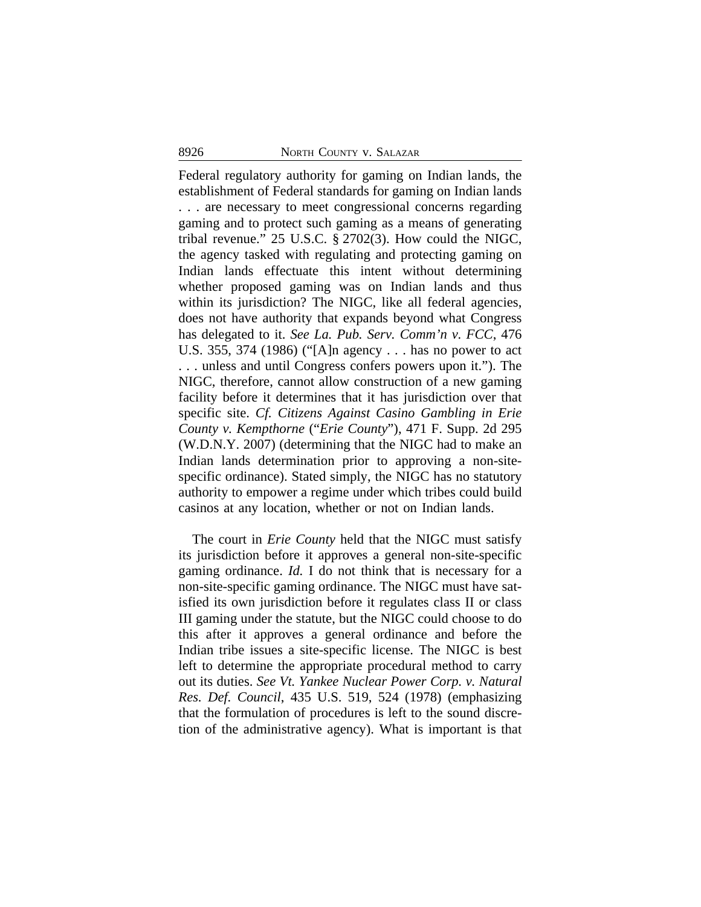Federal regulatory authority for gaming on Indian lands, the establishment of Federal standards for gaming on Indian lands . . . are necessary to meet congressional concerns regarding gaming and to protect such gaming as a means of generating tribal revenue." 25 U.S.C. § 2702(3). How could the NIGC, the agency tasked with regulating and protecting gaming on Indian lands effectuate this intent without determining whether proposed gaming was on Indian lands and thus within its jurisdiction? The NIGC, like all federal agencies, does not have authority that expands beyond what Congress has delegated to it. *See La. Pub. Serv. Comm'n v. FCC*, 476 U.S. 355, 374 (1986) ("[A]n agency . . . has no power to act . . . unless and until Congress confers powers upon it."). The NIGC, therefore, cannot allow construction of a new gaming facility before it determines that it has jurisdiction over that specific site. *Cf. Citizens Against Casino Gambling in Erie County v. Kempthorne* ("*Erie County*"), 471 F. Supp. 2d 295 (W.D.N.Y. 2007) (determining that the NIGC had to make an Indian lands determination prior to approving a non-sitespecific ordinance). Stated simply, the NIGC has no statutory authority to empower a regime under which tribes could build casinos at any location, whether or not on Indian lands.

The court in *Erie County* held that the NIGC must satisfy its jurisdiction before it approves a general non-site-specific gaming ordinance. *Id.* I do not think that is necessary for a non-site-specific gaming ordinance. The NIGC must have satisfied its own jurisdiction before it regulates class II or class III gaming under the statute, but the NIGC could choose to do this after it approves a general ordinance and before the Indian tribe issues a site-specific license. The NIGC is best left to determine the appropriate procedural method to carry out its duties. *See Vt. Yankee Nuclear Power Corp. v. Natural Res. Def. Council*, 435 U.S. 519, 524 (1978) (emphasizing that the formulation of procedures is left to the sound discretion of the administrative agency). What is important is that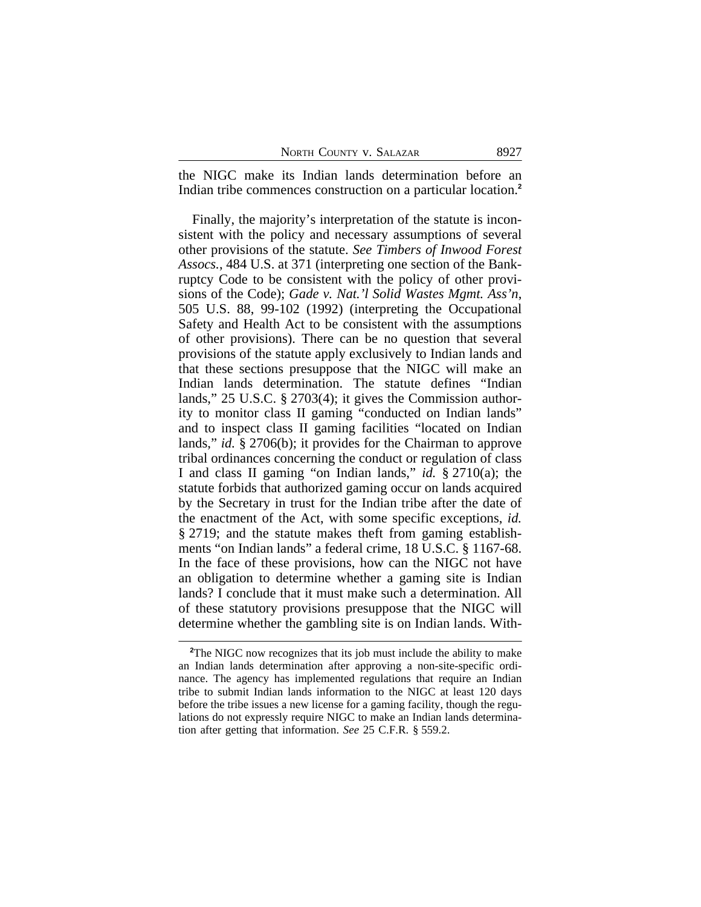the NIGC make its Indian lands determination before an Indian tribe commences construction on a particular location.**<sup>2</sup>**

Finally, the majority's interpretation of the statute is inconsistent with the policy and necessary assumptions of several other provisions of the statute. *See Timbers of Inwood Forest Assocs.*, 484 U.S. at 371 (interpreting one section of the Bankruptcy Code to be consistent with the policy of other provisions of the Code); *Gade v. Nat.'l Solid Wastes Mgmt. Ass'n*, 505 U.S. 88, 99-102 (1992) (interpreting the Occupational Safety and Health Act to be consistent with the assumptions of other provisions). There can be no question that several provisions of the statute apply exclusively to Indian lands and that these sections presuppose that the NIGC will make an Indian lands determination. The statute defines "Indian lands," 25 U.S.C. § 2703(4); it gives the Commission authority to monitor class II gaming "conducted on Indian lands" and to inspect class II gaming facilities "located on Indian lands," *id.* § 2706(b); it provides for the Chairman to approve tribal ordinances concerning the conduct or regulation of class I and class II gaming "on Indian lands," *id.* § 2710(a); the statute forbids that authorized gaming occur on lands acquired by the Secretary in trust for the Indian tribe after the date of the enactment of the Act, with some specific exceptions, *id.* § 2719; and the statute makes theft from gaming establishments "on Indian lands" a federal crime, 18 U.S.C. § 1167-68. In the face of these provisions, how can the NIGC not have an obligation to determine whether a gaming site is Indian lands? I conclude that it must make such a determination. All of these statutory provisions presuppose that the NIGC will determine whether the gambling site is on Indian lands. With-

<sup>&</sup>lt;sup>2</sup>The NIGC now recognizes that its job must include the ability to make an Indian lands determination after approving a non-site-specific ordinance. The agency has implemented regulations that require an Indian tribe to submit Indian lands information to the NIGC at least 120 days before the tribe issues a new license for a gaming facility, though the regulations do not expressly require NIGC to make an Indian lands determination after getting that information. *See* 25 C.F.R. § 559.2.